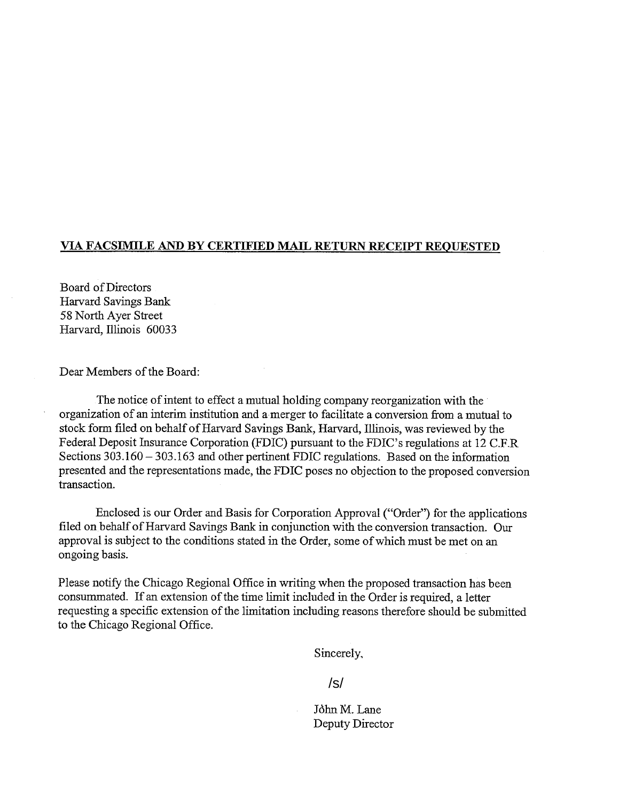## **VIA FACSIMILE AND BY CERTIFIED MAIL RETURN RECEIPT REQUESTED**

Board of Directors Harvard Savings Bank *58* North Ayer Street Harvard, Illinois 60033

Dear Members of the Board:

The notice of intent to effect a mutual holding company reorganization with the organization of an interim institution and amerger to facilitate a conversion from a mutual to stock form filed on behalf of Harvard Savings Bank, Harvard, Illinois, was reviewed by the Federal Deposit Insurance Corporation (FDIC) pursuant to the FDIC's regulations at 12 C.F.R Sections  $303.160 - 303.163$  and other pertinent FDIC regulations. Based on the information presented and the representations made, the FDIC poses no objection to the proposed conversion transaction.

Enclosed is our Order and Basis for Corporation Approval ("Order") for the applications filed on behalf of Harvard Savings Bank in conjunction with the conversion transaction. Our approval is subject to the conditions stated in the Order, some of which must be met on an ongoing basis.

Please notify the Chicago Regional Office in writing when the proposed transaction has been consummated. If an extension of the time limit included in the Order is required, a letter requesting a specific extension of the limitation including reasons therefore should be submitted to the Chicago Regional Office.

Sincerely,

/s/

John M. Lane Deputy Director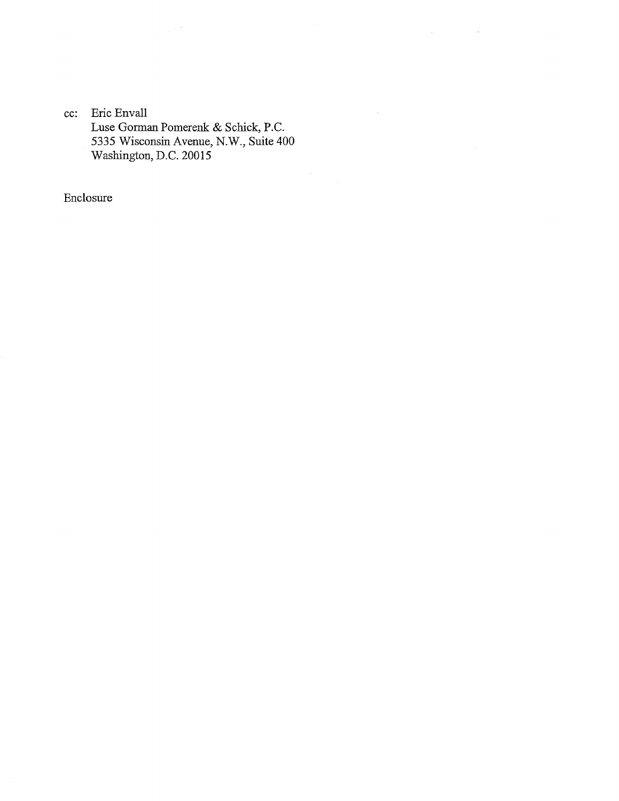cc: Eric Envall Luse Gorman Pomerenk & Schick, P.C. 5335 Wisconsin Avenue, N.W., Suite 400 Washington, D.C. 20015

 $\Delta \phi = 0.01$  and  $\Delta \phi = 0.01$ 

 $\hat{\mathcal{L}}$ 

 $\sim$ 

Enclosure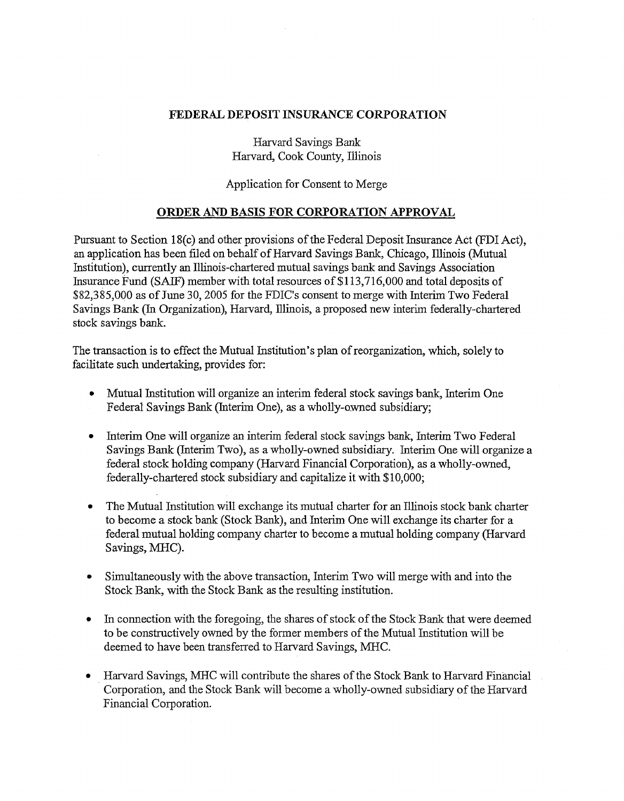## FEDERAL DEPOSIT INSURANCE CORPORATION

Harvard Savings Bank Harvard, Cook County, Illinois

Application for Consent to Merge

## ORDER AND BASIS FOR CORPORATION APPROVAL

Pursuant to Section 18(c) and other provisions of the Federal Deposit Insurance Act (FDI Act), an application has been filed on behalf of Harvard Savings Bank, Chicago, Illinois (Mutual Institution), currently an Illinois-chartered mutual savings bank and Savings Association Insurance Fund (SAIF) member with total resources of \$113,716,000 and total deposits of \$82,385,000 as of June 30, 2005 for the FDIC's consent to merge with Interim Two Federal Savings Bank (In Organization), Harvard, Illinois, a proposed new interim federally-chartered stock savings bank.

The transaction is to effect the Mutual Institution's plan of reorganization, which, solely to facilitate such undertaking, provides for:

- Mutual Institution will organize an interim federal stock savings bank, Interim One Federal Savings Bank (Interim One), as a wholly-owned subsidiary;
- Interim One will organize an interim federal stock savings bank, Interim Two Federal Savings Bank (Interim Two), as a wholly-owned subsidiary. Interim One will organize a federal stock holding company (Harvard Financial Corporation), as a wholly-owned, federally-chartered stock subsidiary and capitalize it with \$10,000;
- The Mutual Institution will exchange its mutual charter for an Illinois stock bank charter to become a stock bank (Stock Bank), and Interim One will exchange its charter for a federal mutual holding company charter to become a mutual holding company (Harvard Savings, MHC).
- Simultaneously with the above transaction, Interim Two will merge with and into the Stock Bank, with the Stock Bank as the resulting institution.
- In connection with the foregoing, the shares of stock of the Stock Bank that were deemed to be constructively owned by the former members of the Mutual Institution will be deemed to have been transferred to Harvard Savings, MHC.
- Harvard Savings, MHC will contribute the shares of the Stock Bank to Harvard Financial Corporation, and the Stock Bank will become a wholly-owned subsidiary of the Harvard Financial Corporation.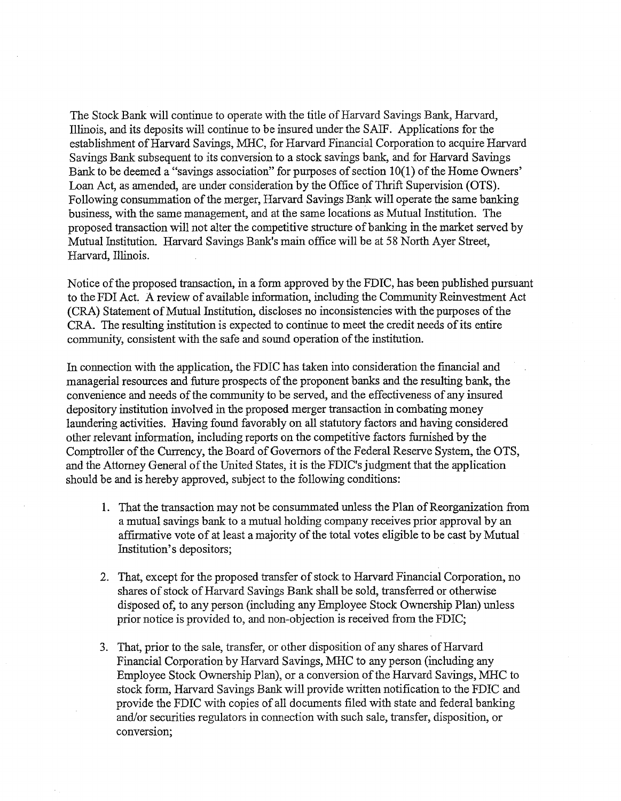The Stock Bank will continue to operate with the title of Harvard Savings Bank, Harvard, Illinois, and its deposits will continue to be insured under the SAIF. Applications for the establishment of Harvard Savings, MHC, for Harvard Financial Corporation to acquire Harvard Savings Bank subsequent to its conversion to a stock savings bank, and for Harvard Savings Bank to be deemed a "savings association" for purposes of section 10(1) of the Home Owners' Loan Act, as amended, are under consideration by the Office of Thrift Supervision (OTS). Following consummation of the merger, Harvard Savings Bank will operate the same banking business, with the same management, and at the same locations as Mutual Institution. The proposed transaction will not alter the competitive structure of banking in the market served by Mutual Institution. Harvard Savings Bank's main office will be at 58 North Ayer Street, Harvard, Illinois.

Notice of the proposed transaction, in a form approved by the FDIC, has been published pursuant to the FDI Act. A review of available information, including the Community Reinvestment Act (CRA) Statement of Mutual Institution, discloses no inconsistencies with the purposes of the CRA. The resulting institution is expected to continue to meet the credit needs of its entire community, consistent with the safe and sound operation of the institution.

In connection with the application, the FDIC has taken into consideration the financial and managerial resources and future prospects of the proponent banks and the resulting bank, the convenience and needs of the community to be served, and the effectiveness of any insured depository institution involved in the proposed merger transaction in combating money laundering activities. Having found favorably on all statutory factors and having considered other relevant information, including reports on the competitive factors furnished by the Comptroller of the Currency, the Board of Governors of the Federal Reserve System, the OTS, and the Attorney General of the United States, it is the FDIC's judgment that the application should be and is hereby approved, subject to the following conditions:

- 1. That the transaction may not be consummated unless the Plan of Reorganization from a mutual savings bank to a mutual holding company receives prior approval by an affirmative vote of at least a majority of the total votes eligible to be cast by Mutual Institution's depositors;
- 2. That, except for the proposed transfer of stock to Harvard Financial Corporation, no shares of stock of Harvard Savings Bank shall be sold, transferred or otherwise disposed of, to any person (including any Employee Stock Ownership Plan) unless prior notice is provided to, and non-objection is received from the FDIC;
- 3. That, prior to the sale, transfer, or other disposition of any shares of Harvard Financial Corporation by Harvard Savings, MHC to any person (including any Employee Stock Ownership Plan), or a conversion ofthe Harvard Savings, MHC to stock form, Harvard Savings Bank will provide written notification to the FDIC and provide the FDIC with copies of all documents filed with state and federal banking and/or securities regulators in connection with such sale, transfer, disposition, or conversion;